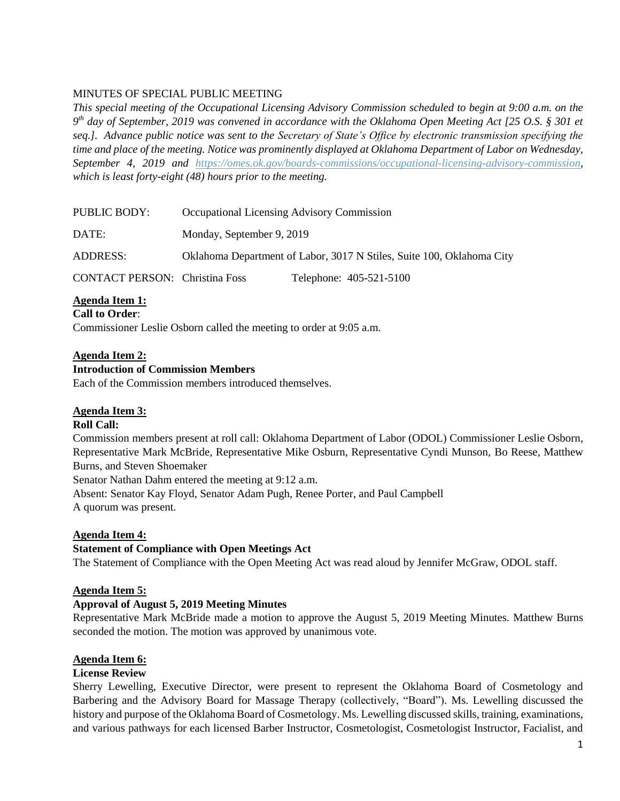# MINUTES OF SPECIAL PUBLIC MEETING

*This special meeting of the Occupational Licensing Advisory Commission scheduled to begin at 9:00 a.m. on the 9 th day of September, 2019 was convened in accordance with the Oklahoma Open Meeting Act [25 O.S. § 301 et seq.]. Advance public notice was sent to the Secretary of State's Office by electronic transmission specifying the time and place of the meeting. Notice was prominently displayed at Oklahoma Department of Labor on Wednesday, September 4, 2019 and https://omes.ok.gov/boards-commissions/occupational-licensing-advisory-commission, which is least forty-eight (48) hours prior to the meeting.*

| <b>PUBLIC BODY:</b>                   | Occupational Licensing Advisory Commission                            |                         |
|---------------------------------------|-----------------------------------------------------------------------|-------------------------|
| DATE:                                 | Monday, September 9, 2019                                             |                         |
| <b>ADDRESS:</b>                       | Oklahoma Department of Labor, 3017 N Stiles, Suite 100, Oklahoma City |                         |
| <b>CONTACT PERSON:</b> Christina Foss |                                                                       | Telephone: 405-521-5100 |

**Agenda Item 1: Call to Order**:

Commissioner Leslie Osborn called the meeting to order at 9:05 a.m.

### **Agenda Item 2:**

### **Introduction of Commission Members**

Each of the Commission members introduced themselves.

### **Agenda Item 3:**

### **Roll Call:**

Commission members present at roll call: Oklahoma Department of Labor (ODOL) Commissioner Leslie Osborn, Representative Mark McBride, Representative Mike Osburn, Representative Cyndi Munson, Bo Reese, Matthew Burns, and Steven Shoemaker

Senator Nathan Dahm entered the meeting at 9:12 a.m.

Absent: Senator Kay Floyd, Senator Adam Pugh, Renee Porter, and Paul Campbell A quorum was present.

## **Agenda Item 4:**

## **Statement of Compliance with Open Meetings Act**

The Statement of Compliance with the Open Meeting Act was read aloud by Jennifer McGraw, ODOL staff.

### **Agenda Item 5:**

### **Approval of August 5, 2019 Meeting Minutes**

Representative Mark McBride made a motion to approve the August 5, 2019 Meeting Minutes. Matthew Burns seconded the motion. The motion was approved by unanimous vote.

### **Agenda Item 6:**

### **License Review**

Sherry Lewelling, Executive Director, were present to represent the Oklahoma Board of Cosmetology and Barbering and the Advisory Board for Massage Therapy (collectively, "Board"). Ms. Lewelling discussed the history and purpose of the Oklahoma Board of Cosmetology. Ms. Lewelling discussed skills, training, examinations, and various pathways for each licensed Barber Instructor, Cosmetologist, Cosmetologist Instructor, Facialist, and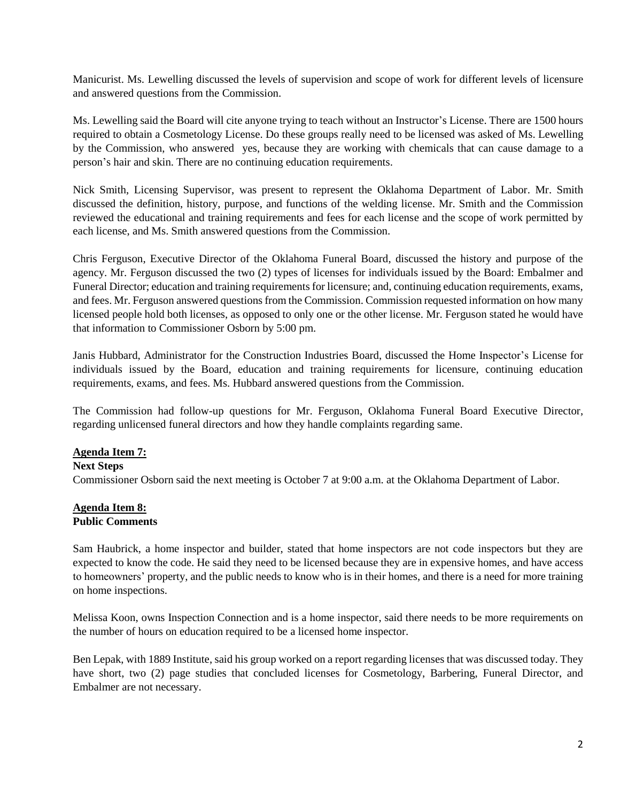Manicurist. Ms. Lewelling discussed the levels of supervision and scope of work for different levels of licensure and answered questions from the Commission.

Ms. Lewelling said the Board will cite anyone trying to teach without an Instructor's License. There are 1500 hours required to obtain a Cosmetology License. Do these groups really need to be licensed was asked of Ms. Lewelling by the Commission, who answered yes, because they are working with chemicals that can cause damage to a person's hair and skin. There are no continuing education requirements.

Nick Smith, Licensing Supervisor, was present to represent the Oklahoma Department of Labor. Mr. Smith discussed the definition, history, purpose, and functions of the welding license. Mr. Smith and the Commission reviewed the educational and training requirements and fees for each license and the scope of work permitted by each license, and Ms. Smith answered questions from the Commission.

Chris Ferguson, Executive Director of the Oklahoma Funeral Board, discussed the history and purpose of the agency. Mr. Ferguson discussed the two (2) types of licenses for individuals issued by the Board: Embalmer and Funeral Director; education and training requirements for licensure; and, continuing education requirements, exams, and fees. Mr. Ferguson answered questions from the Commission. Commission requested information on how many licensed people hold both licenses, as opposed to only one or the other license. Mr. Ferguson stated he would have that information to Commissioner Osborn by 5:00 pm.

Janis Hubbard, Administrator for the Construction Industries Board, discussed the Home Inspector's License for individuals issued by the Board, education and training requirements for licensure, continuing education requirements, exams, and fees. Ms. Hubbard answered questions from the Commission.

The Commission had follow-up questions for Mr. Ferguson, Oklahoma Funeral Board Executive Director, regarding unlicensed funeral directors and how they handle complaints regarding same.

### **Agenda Item 7:**

#### **Next Steps**

Commissioner Osborn said the next meeting is October 7 at 9:00 a.m. at the Oklahoma Department of Labor.

#### **Agenda Item 8: Public Comments**

Sam Haubrick, a home inspector and builder, stated that home inspectors are not code inspectors but they are expected to know the code. He said they need to be licensed because they are in expensive homes, and have access to homeowners' property, and the public needs to know who is in their homes, and there is a need for more training on home inspections.

Melissa Koon, owns Inspection Connection and is a home inspector, said there needs to be more requirements on the number of hours on education required to be a licensed home inspector.

Ben Lepak, with 1889 Institute, said his group worked on a report regarding licenses that was discussed today. They have short, two (2) page studies that concluded licenses for Cosmetology, Barbering, Funeral Director, and Embalmer are not necessary.